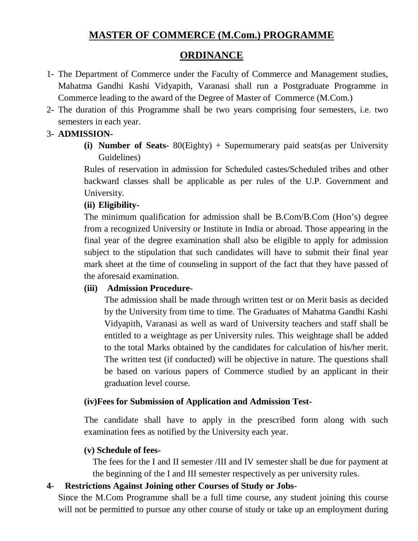# **MASTER OF COMMERCE (M.Com.) PROGRAMME**

# **ORDINANCE**

- 1- The Department of Commerce under the Faculty of Commerce and Management studies, Mahatma Gandhi Kashi Vidyapith, Varanasi shall run a Postgraduate Programme in Commerce leading to the award of the Degree of Master of Commerce (M.Com.)
- 2- The duration of this Programme shall be two years comprising four semesters, i.e. two semesters in each year.

# 3- **ADMISSION-**

**(i) Number of Seats-** 80(Eighty) + Supernumerary paid seats(as per University Guidelines)

Rules of reservation in admission for Scheduled castes/Scheduled tribes and other backward classes shall be applicable as per rules of the U.P. Government and University.

# **(ii) Eligibility-**

The minimum qualification for admission shall be B.Com/B.Com (Hon's) degree from a recognized University or Institute in India or abroad. Those appearing in the final year of the degree examination shall also be eligible to apply for admission subject to the stipulation that such candidates will have to submit their final year mark sheet at the time of counseling in support of the fact that they have passed of the aforesaid examination.

# **(iii) Admission Procedure-**

The admission shall be made through written test or on Merit basis as decided by the University from time to time. The Graduates of Mahatma Gandhi Kashi Vidyapith, Varanasi as well as ward of University teachers and staff shall be entitled to a weightage as per University rules. This weightage shall be added to the total Marks obtained by the candidates for calculation of his/her merit. The written test (if conducted) will be objective in nature. The questions shall be based on various papers of Commerce studied by an applicant in their graduation level course.

# **(iv)Fees for Submission of Application and Admission Test-**

The candidate shall have to apply in the prescribed form along with such examination fees as notified by the University each year.

# **(v) Schedule of fees-**

The fees for the I and II semester /III and IV semester shall be due for payment at the beginning of the I and III semester respectively as per university rules.

# **4- Restrictions Against Joining other Courses of Study or Jobs-**

Since the M.Com Programme shall be a full time course, any student joining this course will not be permitted to pursue any other course of study or take up an employment during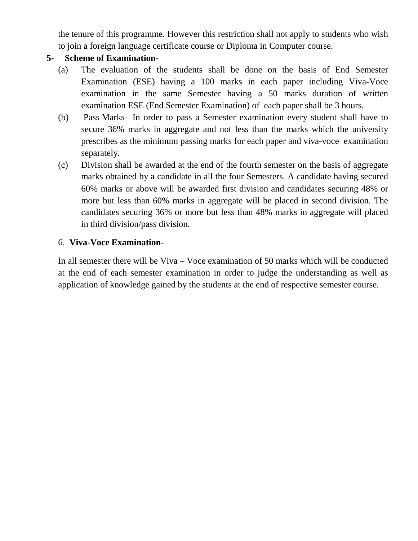the tenure of this programme. However this restriction shall not apply to students who wish to join a foreign language certificate course or Diploma in Computer course.

# **5- Scheme of Examination-**

- (a) The evaluation of the students shall be done on the basis of End Semester Examination (ESE) having a 100 marks in each paper including Viva-Voce examination in the same Semester having a 50 marks duration of written examination ESE (End Semester Examination) of each paper shall be 3 hours.
- (b) Pass Marks- In order to pass a Semester examination every student shall have to secure 36% marks in aggregate and not less than the marks which the university prescribes as the minimum passing marks for each paper and viva-voce examination separately.
- (c) Division shall be awarded at the end of the fourth semester on the basis of aggregate marks obtained by a candidate in all the four Semesters. A candidate having secured 60% marks or above will be awarded first division and candidates securing 48% or more but less than 60% marks in aggregate will be placed in second division. The candidates securing 36% or more but less than 48% marks in aggregate will placed in third division/pass division.

# 6. **Viva-Voce Examination-**

In all semester there will be Viva – Voce examination of 50 marks which will be conducted at the end of each semester examination in order to judge the understanding as well as application of knowledge gained by the students at the end of respective semester course.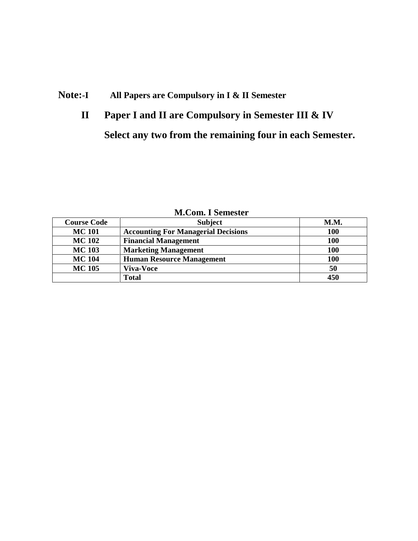# **Note:-I All Papers are Compulsory in I & II Semester**

# **II Paper I and II are Compulsory in Semester III & IV Select any two from the remaining four in each Semester.**

| <u>nicom. I benesici</u> |                                            |            |  |
|--------------------------|--------------------------------------------|------------|--|
| <b>Course Code</b>       | <b>Subject</b>                             | M.M.       |  |
| <b>MC101</b>             | <b>Accounting For Managerial Decisions</b> | 100        |  |
| <b>MC 102</b>            | <b>Financial Management</b>                | <b>100</b> |  |
| <b>MC 103</b>            | <b>Marketing Management</b>                | <b>100</b> |  |
| <b>MC 104</b>            | <b>Human Resource Management</b>           | <b>100</b> |  |
| <b>MC 105</b>            | <b>Viva-Voce</b>                           | 50         |  |
|                          | <b>Total</b>                               | 450        |  |

**M.Com. I Semester**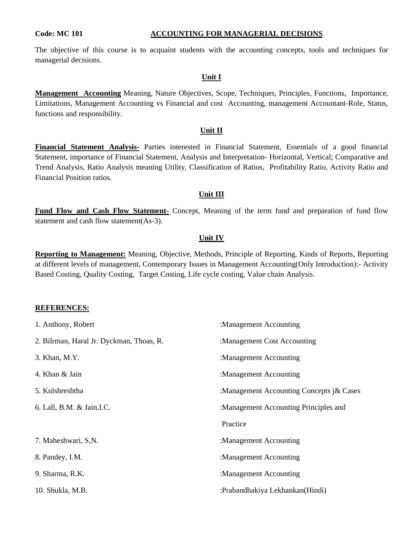#### **Code: MC 101 ACCOUNTING FOR MANAGERIAL DECISIONS**

The objective of this course is to acquaint students with the accounting concepts, tools and techniques for managerial decisions.

#### **Unit I**

**Management Accounting** Meaning, Nature Objectives, Scope, Techniques, Principles, Functions, Importance, Limitations, Management Accounting vs Financial and cost Accounting, management Accountant-Role, Status, functions and responsibility.

#### **Unit II**

**Financial Statement Analysis-** Parties interested in Financial Statement, Essentials of a good financial Statement, importance of Financial Statement, Analysis and Interpretation- Horizontal, Vertical; Comparative and Trend Analysis, Ratio Analysis meaning Utility, Classification of Ratios, Profitability Ratio, Activity Ratio and Financial Position ratios.

#### **Unit III**

Fund Flow and Cash Flow Statement- Concept, Meaning of the term fund and preparation of fund flow statement and cash flow statement(As-3).

#### **Unit IV**

**Reporting to Management:** Meaning, Objective, Methods, Principle of Reporting, Kinds of Reports, Reporting at different levels of management, Contemporary Issues in Management Accounting(Only Introduction):- Activity Based Costing, Quality Costing, Target Costing, Life cycle costing, Value chain Analysis.

#### **REFERENCES:**

| 1. Anthony, Robert                       | :Management Accounting                   |
|------------------------------------------|------------------------------------------|
| 2. Bilrman, Haral Jr. Dyckman, Thoas, R. | :Management Cost Accounting              |
| 3. Khan, M.Y.                            | :Management Accounting                   |
| 4. Khan & Jain                           | :Management Accounting                   |
| 5. Kulshreshtha                          | :Management Accounting Concepts j& Cases |
| 6. Lall, B.M. & Jain, I.C.               | :Management Accounting Principles and    |
|                                          | Practice                                 |
| 7. Maheshwari, S,N.                      | :Management Accounting                   |
| 8. Pandey, I.M.                          | :Management Accounting                   |
| 9. Sharma, R.K.                          | :Management Accounting                   |
| 10. Shukla, M.B.                         | :Prabandhakiya Lekhankan(Hindi)          |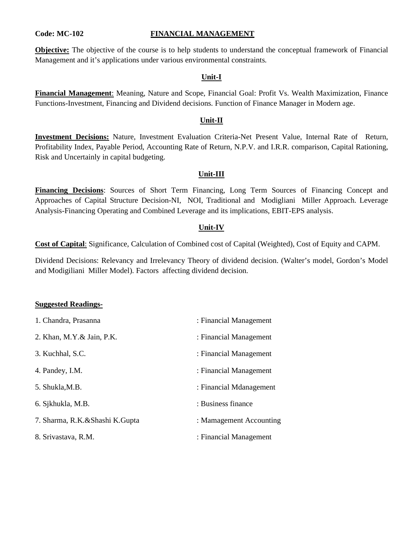#### **Code: MC-102 FINANCIAL MANAGEMENT**

**Objective:** The objective of the course is to help students to understand the conceptual framework of Financial Management and it's applications under various environmental constraints.

#### **Unit-I**

**Financial Management**: Meaning, Nature and Scope, Financial Goal: Profit Vs. Wealth Maximization, Finance Functions-Investment, Financing and Dividend decisions. Function of Finance Manager in Modern age.

#### **Unit-II**

**Investment Decisions:** Nature, Investment Evaluation Criteria-Net Present Value, Internal Rate of Return, Profitability Index, Payable Period, Accounting Rate of Return, N.P.V. and I.R.R. comparison, Capital Rationing, Risk and Uncertainly in capital budgeting.

#### **Unit-III**

**Financing Decisions**: Sources of Short Term Financing, Long Term Sources of Financing Concept and Approaches of Capital Structure Decision-NI, NOI, Traditional and Modigliani Miller Approach. Leverage Analysis-Financing Operating and Combined Leverage and its implications, EBIT-EPS analysis.

#### **Unit-IV**

**Cost of Capital**: Significance, Calculation of Combined cost of Capital (Weighted), Cost of Equity and CAPM.

Dividend Decisions: Relevancy and Irrelevancy Theory of dividend decision. (Walter's model, Gordon's Model and Modigiliani Miller Model). Factors affecting dividend decision.

| 1. Chandra, Prasanna           | : Financial Management  |
|--------------------------------|-------------------------|
| 2. Khan, M.Y. & Jain, P.K.     | : Financial Management  |
| 3. Kuchhal, S.C.               | : Financial Management  |
| 4. Pandey, I.M.                | : Financial Management  |
| 5. Shukla, M.B.                | : Financial Mdanagement |
| 6. Sjkhukla, M.B.              | : Business finance      |
| 7. Sharma, R.K.&Shashi K.Gupta | : Mamagement Accounting |
| 8. Srivastava, R.M.            | : Financial Management  |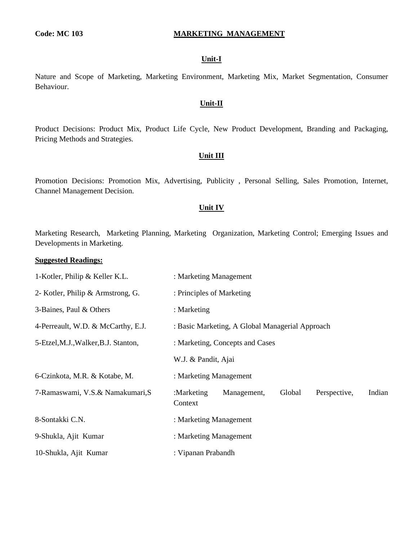#### **Code: MC 103 MARKETING MANAGEMENT**

#### **Unit-I**

Nature and Scope of Marketing, Marketing Environment, Marketing Mix, Market Segmentation, Consumer Behaviour.

#### **Unit-II**

Product Decisions: Product Mix, Product Life Cycle, New Product Development, Branding and Packaging, Pricing Methods and Strategies.

#### **Unit III**

Promotion Decisions: Promotion Mix, Advertising, Publicity , Personal Selling, Sales Promotion, Internet, Channel Management Decision.

#### **Unit IV**

Marketing Research, Marketing Planning, Marketing Organization, Marketing Control; Emerging Issues and Developments in Marketing.

| 1-Kotler, Philip & Keller K.L.       | : Marketing Management                                                   |
|--------------------------------------|--------------------------------------------------------------------------|
| 2- Kotler, Philip & Armstrong, G.    | : Principles of Marketing                                                |
| 3-Baines, Paul & Others              | : Marketing                                                              |
| 4-Perreault, W.D. & McCarthy, E.J.   | : Basic Marketing, A Global Managerial Approach                          |
| 5-Etzel, M.J., Walker, B.J. Stanton, | : Marketing, Concepts and Cases                                          |
|                                      | W.J. & Pandit, Ajai                                                      |
| 6-Czinkota, M.R. & Kotabe, M.        | : Marketing Management                                                   |
| 7-Ramaswami, V.S.& Namakumari, S     | Indian<br>Global<br>:Marketing<br>Management,<br>Perspective,<br>Context |
| 8-Sontakki C.N.                      | : Marketing Management                                                   |
| 9-Shukla, Ajit Kumar                 | : Marketing Management                                                   |
| 10-Shukla, Ajit Kumar                | : Vipanan Prabandh                                                       |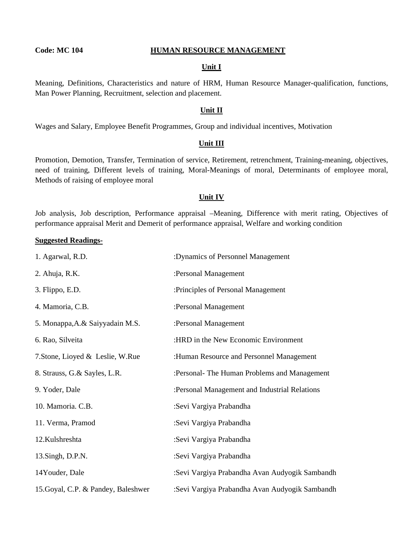#### **Code: MC 104 HUMAN RESOURCE MANAGEMENT**

#### **Unit I**

Meaning, Definitions, Characteristics and nature of HRM, Human Resource Manager-qualification, functions, Man Power Planning, Recruitment, selection and placement.

#### **Unit II**

Wages and Salary, Employee Benefit Programmes, Group and individual incentives, Motivation

#### **Unit III**

Promotion, Demotion, Transfer, Termination of service, Retirement, retrenchment, Training-meaning, objectives, need of training, Different levels of training, Moral-Meanings of moral, Determinants of employee moral, Methods of raising of employee moral

#### **Unit IV**

Job analysis, Job description, Performance appraisal –Meaning, Difference with merit rating, Objectives of performance appraisal Merit and Demerit of performance appraisal, Welfare and working condition

| 1. Agarwal, R.D.                    | :Dynamics of Personnel Management              |
|-------------------------------------|------------------------------------------------|
| 2. Ahuja, R.K.                      | :Personal Management                           |
| 3. Flippo, E.D.                     | :Principles of Personal Management             |
| 4. Mamoria, C.B.                    | :Personal Management                           |
| 5. Monappa, A. & Saiyyadain M.S.    | :Personal Management                           |
| 6. Rao, Silveita                    | :HRD in the New Economic Environment           |
| 7. Stone, Lioyed & Leslie, W.Rue    | :Human Resource and Personnel Management       |
| 8. Strauss, G.& Sayles, L.R.        | :Personal- The Human Problems and Management   |
| 9. Yoder, Dale                      | :Personal Management and Industrial Relations  |
| 10. Mamoria. C.B.                   | :Sevi Vargiya Prabandha                        |
| 11. Verma, Pramod                   | :Sevi Vargiya Prabandha                        |
| 12.Kulshreshta                      | :Sevi Vargiya Prabandha                        |
| 13.Singh, D.P.N.                    | :Sevi Vargiya Prabandha                        |
| 14Youder, Dale                      | :Sevi Vargiya Prabandha Avan Audyogik Sambandh |
| 15. Goyal, C.P. & Pandey, Baleshwer | :Sevi Vargiya Prabandha Avan Audyogik Sambandh |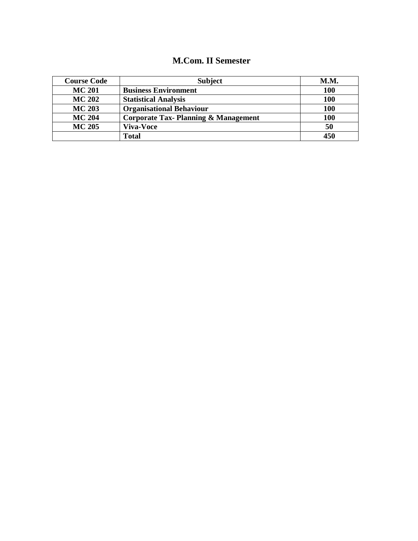# **M.Com. II Semester**

| <b>Course Code</b> | <b>Subject</b>                                 | <b>M.M.</b> |
|--------------------|------------------------------------------------|-------------|
| <b>MC 201</b>      | <b>Business Environment</b>                    | 100         |
| <b>MC 202</b>      | <b>Statistical Analysis</b>                    | 100         |
| <b>MC 203</b>      | <b>Organisational Behaviour</b>                | 100         |
| <b>MC 204</b>      | <b>Corporate Tax-Planning &amp; Management</b> | 100         |
| <b>MC 205</b>      | <b>Viva-Voce</b>                               | 50          |
|                    | <b>Total</b>                                   | 450         |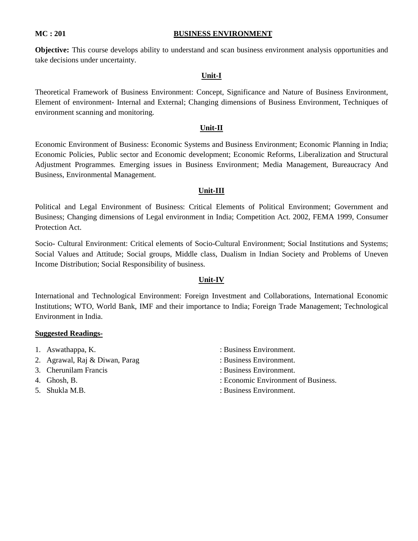#### **MC : 201 BUSINESS ENVIRONMENT**

**Objective:** This course develops ability to understand and scan business environment analysis opportunities and take decisions under uncertainty.

#### **Unit-I**

Theoretical Framework of Business Environment: Concept, Significance and Nature of Business Environment, Element of environment- Internal and External; Changing dimensions of Business Environment, Techniques of environment scanning and monitoring.

#### **Unit-II**

Economic Environment of Business: Economic Systems and Business Environment; Economic Planning in India; Economic Policies, Public sector and Economic development; Economic Reforms, Liberalization and Structural Adjustment Programmes. Emerging issues in Business Environment; Media Management, Bureaucracy And Business, Environmental Management.

#### **Unit-III**

Political and Legal Environment of Business: Critical Elements of Political Environment; Government and Business; Changing dimensions of Legal environment in India; Competition Act. 2002, FEMA 1999, Consumer Protection Act.

Socio- Cultural Environment: Critical elements of Socio-Cultural Environment; Social Institutions and Systems; Social Values and Attitude; Social groups, Middle class, Dualism in Indian Society and Problems of Uneven Income Distribution; Social Responsibility of business.

#### **Unit-IV**

International and Technological Environment: Foreign Investment and Collaborations, International Economic Institutions; WTO, World Bank, IMF and their importance to India; Foreign Trade Management; Technological Environment in India.

- 
- 2. Agrawal, Raj & Diwan, Parag : Business Environment.
- 3. Cherunilam Francis : Business Environment.
- 
- 
- 1. Aswathappa, K. Susiness Environment.
	-
	-
- 4. Ghosh, B. : Economic Environment of Business.
- 5. Shukla M.B. : Business Environment.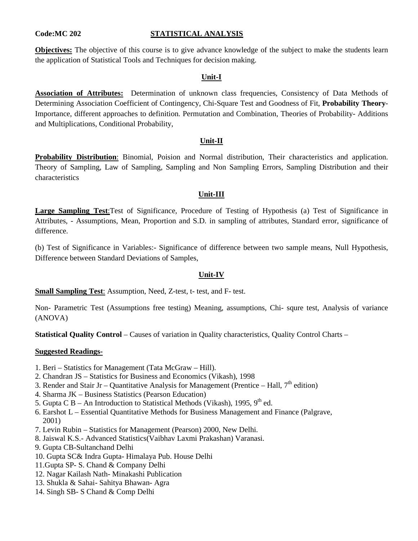### **Code:MC 202 STATISTICAL ANALYSIS**

**Objectives:** The objective of this course is to give advance knowledge of the subject to make the students learn the application of Statistical Tools and Techniques for decision making.

### **Unit-I**

**Association of Attributes:** Determination of unknown class frequencies, Consistency of Data Methods of Determining Association Coefficient of Contingency, Chi-Square Test and Goodness of Fit, **Probability Theory**-Importance, different approaches to definition. Permutation and Combination, Theories of Probability- Additions and Multiplications, Conditional Probability,

#### **Unit-II**

**Probability Distribution**: Binomial, Poision and Normal distribution, Their characteristics and application. Theory of Sampling, Law of Sampling, Sampling and Non Sampling Errors, Sampling Distribution and their characteristics

#### **Unit-III**

**Large Sampling Test**:Test of Significance, Procedure of Testing of Hypothesis (a) Test of Significance in Attributes, - Assumptions, Mean, Proportion and S.D. in sampling of attributes, Standard error, significance of difference.

(b) Test of Significance in Variables:- Significance of difference between two sample means, Null Hypothesis, Difference between Standard Deviations of Samples,

#### **Unit-IV**

**Small Sampling Test**: Assumption, Need, Z-test, t- test, and F- test.

Non- Parametric Test (Assumptions free testing) Meaning, assumptions, Chi- squre test, Analysis of variance (ANOVA)

**Statistical Quality Control** – Causes of variation in Quality characteristics, Quality Control Charts –

- 1. Beri Statistics for Management (Tata McGraw Hill).
- 2. Chandran JS Statistics for Business and Economics (Vikash), 1998
- 3. Render and Stair Jr Quantitative Analysis for Management (Prentice Hall,  $7<sup>th</sup>$  edition)
- 4. Sharma JK Business Statistics (Pearson Education)
- 5. Gupta C B An Introduction to Statistical Methods (Vikash), 1995,  $9<sup>th</sup>$  ed.
- 6. Earshot L Essential Quantitative Methods for Business Management and Finance (Palgrave, 2001)
- 7. Levin Rubin Statistics for Management (Pearson) 2000, New Delhi.
- 8. Jaiswal K.S.- Advanced Statistics(Vaibhav Laxmi Prakashan) Varanasi.
- 9. Gupta CB-Sultanchand Delhi
- 10. Gupta SC& Indra Gupta- Himalaya Pub. House Delhi
- 11.Gupta SP- S. Chand & Company Delhi
- 12. Nagar Kailash Nath- Minakashi Publication
- 13. Shukla & Sahai- Sahitya Bhawan- Agra
- 14. Singh SB- S Chand & Comp Delhi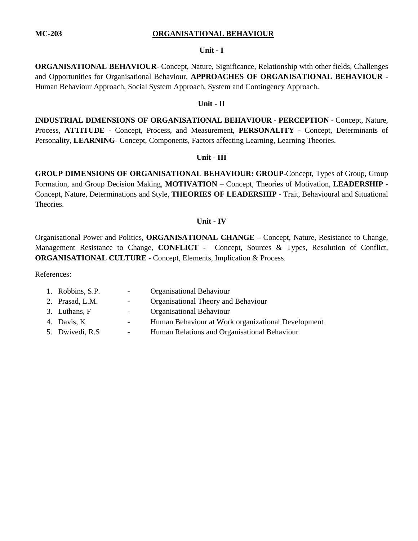#### **MC-203 ORGANISATIONAL BEHAVIOUR**

#### **Unit - I**

**ORGANISATIONAL BEHAVIOUR**- Concept, Nature, Significance, Relationship with other fields, Challenges and Opportunities for Organisational Behaviour, **APPROACHES OF ORGANISATIONAL BEHAVIOUR** - Human Behaviour Approach, Social System Approach, System and Contingency Approach.

#### **Unit - II**

**INDUSTRIAL DIMENSIONS OF ORGANISATIONAL BEHAVIOUR** - **PERCEPTION** - Concept, Nature, Process, **ATTITUDE** - Concept, Process, and Measurement, **PERSONALITY** - Concept, Determinants of Personality, LEARNING- Concept, Components, Factors affecting Learning, Learning Theories.

#### **Unit - III**

**GROUP DIMENSIONS OF ORGANISATIONAL BEHAVIOUR: GROUP**-Concept, Types of Group, Group Formation, and Group Decision Making, **MOTIVATION** – Concept, Theories of Motivation, **LEADERSHIP** - Concept, Nature, Determinations and Style, **THEORIES OF LEADERSHIP** - Trait, Behavioural and Situational Theories.

#### **Unit - IV**

Organisational Power and Politics, **ORGANISATIONAL CHANGE** – Concept, Nature, Resistance to Change, Management Resistance to Change, **CONFLICT** - Concept, Sources & Types, Resolution of Conflict, **ORGANISATIONAL CULTURE** - Concept, Elements, Implication & Process.

References:

| 1. Robbins, S.P. | $\sim 100$               | <b>Organisational Behaviour</b>                    |
|------------------|--------------------------|----------------------------------------------------|
| 2. Prasad, L.M.  | $\overline{\phantom{a}}$ | Organisational Theory and Behaviour                |
| 3. Luthans, F    | $\sim$ $-$               | Organisational Behaviour                           |
| 4. Davis, K      | $\sim$                   | Human Behaviour at Work organizational Development |
| 5. Dwivedi, R.S. | $\overline{\phantom{a}}$ | Human Relations and Organisational Behaviour       |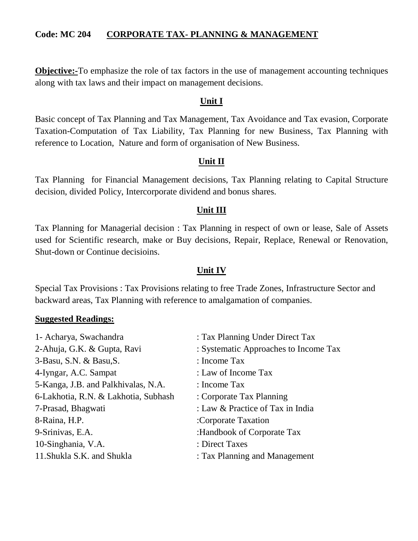# **Code: MC 204 CORPORATE TAX- PLANNING & MANAGEMENT**

**Objective:**-To emphasize the role of tax factors in the use of management accounting techniques along with tax laws and their impact on management decisions.

# **Unit I**

Basic concept of Tax Planning and Tax Management, Tax Avoidance and Tax evasion, Corporate Taxation-Computation of Tax Liability, Tax Planning for new Business, Tax Planning with reference to Location, Nature and form of organisation of New Business.

# **Unit II**

Tax Planning for Financial Management decisions, Tax Planning relating to Capital Structure decision, divided Policy, Intercorporate dividend and bonus shares.

# **Unit III**

Tax Planning for Managerial decision : Tax Planning in respect of own or lease, Sale of Assets used for Scientific research, make or Buy decisions, Repair, Replace, Renewal or Renovation, Shut-down or Continue decisioins.

# **Unit IV**

Special Tax Provisions : Tax Provisions relating to free Trade Zones, Infrastructure Sector and backward areas, Tax Planning with reference to amalgamation of companies.

| : Tax Planning Under Direct Tax       |
|---------------------------------------|
| : Systematic Approaches to Income Tax |
| : Income Tax                          |
| : Law of Income Tax                   |
| : Income Tax                          |
| : Corporate Tax Planning              |
| : Law & Practice of Tax in India      |
| :Corporate Taxation                   |
| :Handbook of Corporate Tax            |
| : Direct Taxes                        |
| : Tax Planning and Management         |
|                                       |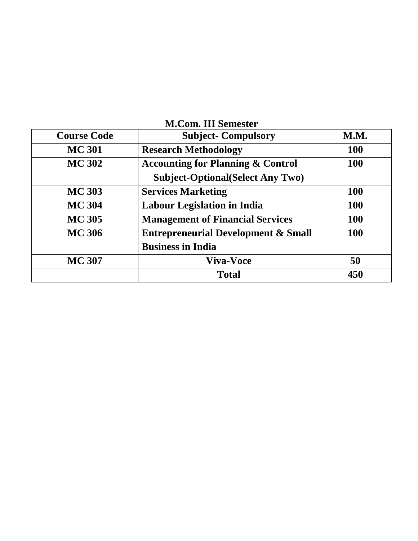| <b>M.Com. III Semester</b> |                                                |             |
|----------------------------|------------------------------------------------|-------------|
| <b>Course Code</b>         | <b>Subject- Compulsory</b>                     | <b>M.M.</b> |
| <b>MC 301</b>              | <b>Research Methodology</b>                    | <b>100</b>  |
| <b>MC 302</b>              | <b>Accounting for Planning &amp; Control</b>   | <b>100</b>  |
|                            | <b>Subject-Optional</b> (Select Any Two)       |             |
| <b>MC 303</b>              | <b>Services Marketing</b>                      | <b>100</b>  |
| <b>MC 304</b>              | <b>Labour Legislation in India</b>             | 100         |
| <b>MC 305</b>              | <b>Management of Financial Services</b>        | <b>100</b>  |
| <b>MC 306</b>              | <b>Entrepreneurial Development &amp; Small</b> | <b>100</b>  |
|                            | <b>Business in India</b>                       |             |
| <b>MC 307</b>              | <b>Viva-Voce</b>                               | 50          |
|                            | <b>Total</b>                                   | 450         |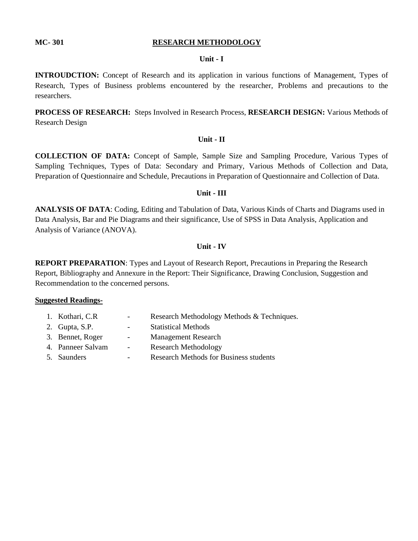#### **MC-301** RESEARCH METHODOLOGY

#### **Unit - I**

**INTROUDCTION:** Concept of Research and its application in various functions of Management, Types of Research, Types of Business problems encountered by the researcher, Problems and precautions to the researchers.

**PROCESS OF RESEARCH:** Steps Involved in Research Process, **RESEARCH DESIGN:** Various Methods of Research Design

#### **Unit - II**

**COLLECTION OF DATA:** Concept of Sample, Sample Size and Sampling Procedure, Various Types of Sampling Techniques, Types of Data: Secondary and Primary, Various Methods of Collection and Data, Preparation of Questionnaire and Schedule, Precautions in Preparation of Questionnaire and Collection of Data.

#### **Unit - III**

**ANALYSIS OF DATA**: Coding, Editing and Tabulation of Data, Various Kinds of Charts and Diagrams used in Data Analysis, Bar and Pie Diagrams and their significance, Use of SPSS in Data Analysis, Application and Analysis of Variance (ANOVA).

#### **Unit - IV**

**REPORT PREPARATION**: Types and Layout of Research Report, Precautions in Preparing the Research Report, Bibliography and Annexure in the Report: Their Significance, Drawing Conclusion, Suggestion and Recommendation to the concerned persons.

- 1. Kothari, C.R Research Methodology Methods & Techniques.
- 2. Gupta, S.P. Statistical Methods
- 3. Bennet, Roger Management Research
- 4. Panneer Salvam Research Methodology
- 5. Saunders Research Methods for Business students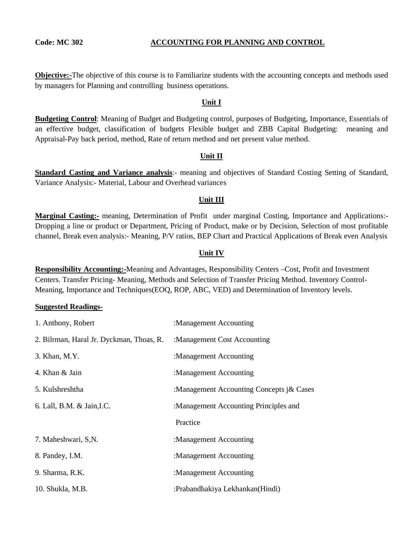#### **Code: MC 302 ACCOUNTING FOR PLANNING AND CONTROL**

**Objective:-**The objective of this course is to Familiarize students with the accounting concepts and methods used by managers for Planning and controlling business operations.

#### **Unit I**

**Budgeting Control**: Meaning of Budget and Budgeting control, purposes of Budgeting, Importance, Essentials of an effective budget, classification of budgets Flexible budget and ZBB Capital Budgeting: meaning and Appraisal-Pay back period, method, Rate of return method and net present value method.

#### **Unit II**

**Standard Casting and Variance analysis**:- meaning and objectives of Standard Costing Setting of Standard, Variance Analysis:- Material, Labour and Overhead variances

#### **Unit III**

**Marginal Casting:-** meaning, Determination of Profit under marginal Costing, Importance and Applications:- Dropping a line or product or Department, Pricing of Product, make or by Decision, Selection of most profitable channel, Break even analysis:- Meaning, P/V ratios, BEP Chart and Practical Applications of Break even Analysis

#### **Unit IV**

**Responsibility Accounting:-**Meaning and Advantages, Responsibility Centers –Cost, Profit and Investment Centers. Transfer Pricing- Meaning, Methods and Selection of Transfer Pricing Method. Inventory Control-Meaning, Importance and Techniques(EOQ, ROP, ABC, VED) and Determination of Inventory levels.

| 1. Anthony, Robert                       | :Management Accounting                   |
|------------------------------------------|------------------------------------------|
| 2. Bilrman, Haral Jr. Dyckman, Thoas, R. | :Management Cost Accounting              |
| 3. Khan, M.Y.                            | :Management Accounting                   |
| 4. Khan & Jain                           | :Management Accounting                   |
| 5. Kulshreshtha                          | :Management Accounting Concepts j& Cases |
| 6. Lall, B.M. & Jain, I.C.               | :Management Accounting Principles and    |
|                                          | Practice                                 |
| 7. Maheshwari, S,N.                      | :Management Accounting                   |
| 8. Pandey, I.M.                          | :Management Accounting                   |
| 9. Sharma, R.K.                          | :Management Accounting                   |
| 10. Shukla, M.B.                         | :Prabandhakiya Lekhankan(Hindi)          |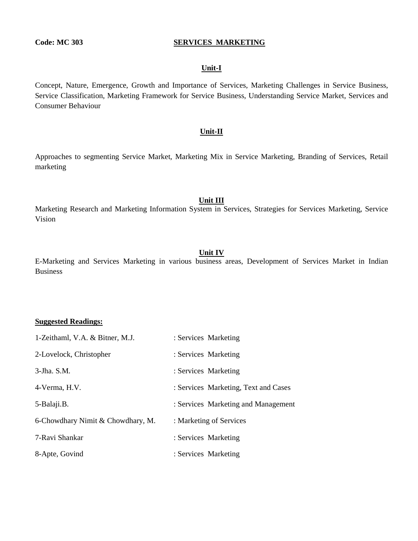#### **Code: MC 303 SERVICES MARKETING**

#### **Unit-I**

Concept, Nature, Emergence, Growth and Importance of Services, Marketing Challenges in Service Business, Service Classification, Marketing Framework for Service Business, Understanding Service Market, Services and Consumer Behaviour

#### **Unit-II**

Approaches to segmenting Service Market, Marketing Mix in Service Marketing, Branding of Services, Retail marketing

#### **Unit III**

Marketing Research and Marketing Information System in Services, Strategies for Services Marketing, Service Vision

#### **Unit IV**

E-Marketing and Services Marketing in various business areas, Development of Services Market in Indian Business

| 1-Zeithaml, V.A. & Bitner, M.J.   | : Services Marketing                 |
|-----------------------------------|--------------------------------------|
| 2-Lovelock, Christopher           | : Services Marketing                 |
| 3-Jha. S.M.                       | : Services Marketing                 |
| 4-Verma, H.V.                     | : Services Marketing, Text and Cases |
| 5-Balaji.B.                       | : Services Marketing and Management  |
| 6-Chowdhary Nimit & Chowdhary, M. | : Marketing of Services              |
| 7-Ravi Shankar                    | : Services Marketing                 |
| 8-Apte, Govind                    | : Services Marketing                 |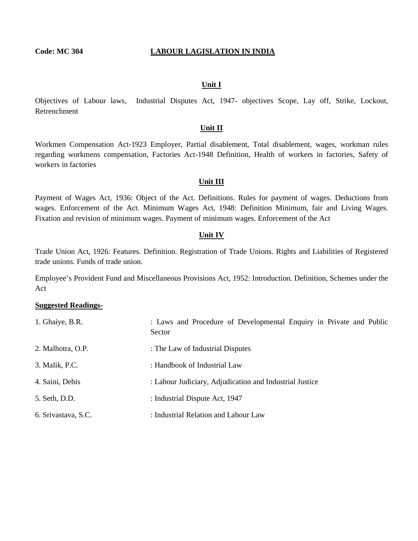#### **Code: MC 304 LABOUR LAGISLATION IN INDIA**

#### **Unit I**

Objectives of Labour laws, Industrial Disputes Act, 1947- objectives Scope, Lay off, Strike, Lockout, Retrenchment

#### **Unit II**

Workmen Compensation Act-1923 Employer, Partial disablement, Total disablement, wages, workman rules regarding workmens compensation, Factories Act-1948 Definition, Health of workers in factories, Safety of workers in factories

#### **Unit III**

Payment of Wages Act, 1936: Object of the Act. Definitions. Rules for payment of wages. Deductions from wages. Enforcement of the Act. Minimum Wages Act, 1948: Definition Minimum, fair and Living Wages. Fixation and revision of minimum wages. Payment of minimum wages. Enforcement of the Act

#### **Unit IV**

Trade Union Act, 1926: Features. Definition. Registration of Trade Unions. Rights and Liabilities of Registered trade unions. Funds of trade union.

Employee's Provident Fund and Miscellaneous Provisions Act, 1952: Introduction. Definition, Schemes under the Act

| 1. Ghaiye, B.R.     | : Laws and Procedure of Developmental Enquiry in Private and Public<br>Sector |
|---------------------|-------------------------------------------------------------------------------|
| 2. Malhotra, O.P.   | : The Law of Industrial Disputes                                              |
| 3. Malik, P.C.      | : Handbook of Industrial Law                                                  |
| 4. Saini, Debis     | : Labour Judiciary, Adjudication and Industrial Justice                       |
| 5. Seth, D.D.       | : Industrial Dispute Act, 1947                                                |
| 6. Srivastava, S.C. | : Industrial Relation and Labour Law                                          |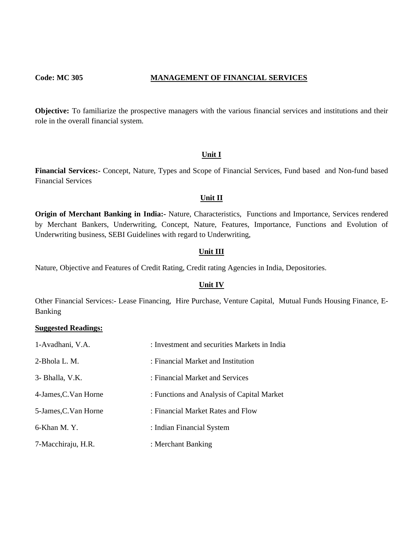#### **Code: MC 305 MANAGEMENT OF FINANCIAL SERVICES**

**Objective:** To familiarize the prospective managers with the various financial services and institutions and their role in the overall financial system.

#### **Unit I**

**Financial Services:-** Concept, Nature, Types and Scope of Financial Services, Fund based and Non-fund based Financial Services

#### **Unit II**

**Origin of Merchant Banking in India:-** Nature, Characteristics, Functions and Importance, Services rendered by Merchant Bankers, Underwriting, Concept, Nature, Features, Importance, Functions and Evolution of Underwriting business, SEBI Guidelines with regard to Underwriting,

#### **Unit III**

Nature, Objective and Features of Credit Rating, Credit rating Agencies in India, Depositories.

#### **Unit IV**

Other Financial Services:- Lease Financing, Hire Purchase, Venture Capital, Mutual Funds Housing Finance, E-Banking

| 1-Avadhani, V.A.      | : Investment and securities Markets in India |
|-----------------------|----------------------------------------------|
| 2-Bhola L. M.         | : Financial Market and Institution           |
| 3- Bhalla, V.K.       | : Financial Market and Services              |
| 4-James, C. Van Horne | : Functions and Analysis of Capital Market   |
| 5-James, C. Van Horne | : Financial Market Rates and Flow            |
| 6-Khan M.Y.           | : Indian Financial System                    |
| 7-Macchiraju, H.R.    | : Merchant Banking                           |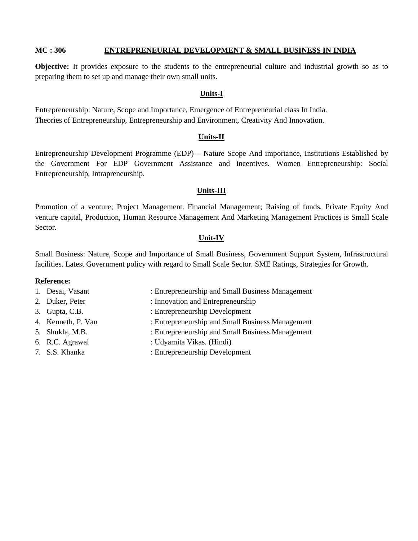#### **MC : 306 ENTREPRENEURIAL DEVELOPMENT & SMALL BUSINESS IN INDIA**

**Objective:** It provides exposure to the students to the entrepreneurial culture and industrial growth so as to preparing them to set up and manage their own small units.

#### **Units-I**

Entrepreneurship: Nature, Scope and Importance, Emergence of Entrepreneurial class In India. Theories of Entrepreneurship, Entrepreneurship and Environment, Creativity And Innovation.

#### **Units-II**

Entrepreneurship Development Programme (EDP) – Nature Scope And importance, Institutions Established by the Government For EDP Government Assistance and incentives. Women Entrepreneurship: Social Entrepreneurship, Intrapreneurship.

#### **Units-III**

Promotion of a venture; Project Management. Financial Management; Raising of funds, Private Equity And venture capital, Production, Human Resource Management And Marketing Management Practices is Small Scale Sector.

#### **Unit-IV**

Small Business: Nature, Scope and Importance of Small Business, Government Support System, Infrastructural facilities. Latest Government policy with regard to Small Scale Sector. SME Ratings, Strategies for Growth.

#### **Reference:**

- 1. Desai, Vasant : Entrepreneurship and Small Business Management
- 2. Duker, Peter : Innovation and Entrepreneurship
- 3. Gupta, C.B. : Entrepreneurship Development
- -
- 
- 
- 
- 4. Kenneth, P. Van : Entrepreneurship and Small Business Management
- 5. Shukla, M.B. : Entrepreneurship and Small Business Management
- 6. R.C. Agrawal : Udyamita Vikas. (Hindi)
- 7. S.S. Khanka : Entrepreneurship Development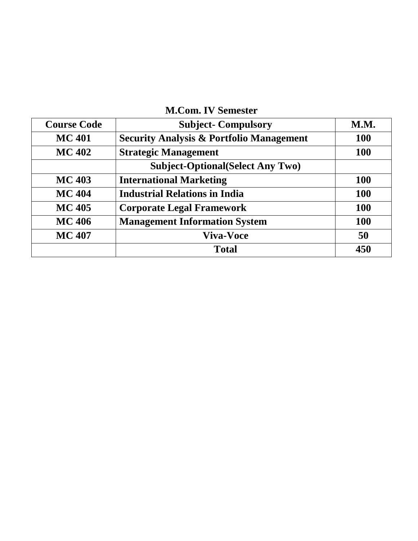| <b>M.Com. IV Semester</b> |  |
|---------------------------|--|
|---------------------------|--|

| <b>Course Code</b> | <b>Subject-Compulsory</b>                           | <b>M.M.</b> |
|--------------------|-----------------------------------------------------|-------------|
| <b>MC 401</b>      | <b>Security Analysis &amp; Portfolio Management</b> | <b>100</b>  |
| <b>MC 402</b>      | <b>Strategic Management</b>                         | <b>100</b>  |
|                    | <b>Subject-Optional</b> (Select Any Two)            |             |
| <b>MC 403</b>      | <b>International Marketing</b>                      | <b>100</b>  |
| <b>MC 404</b>      | <b>Industrial Relations in India</b>                | <b>100</b>  |
| <b>MC 405</b>      | <b>Corporate Legal Framework</b>                    | <b>100</b>  |
| <b>MC 406</b>      | <b>Management Information System</b>                | <b>100</b>  |
| <b>MC 407</b>      | <b>Viva-Voce</b>                                    | 50          |
|                    | <b>Total</b>                                        | 450         |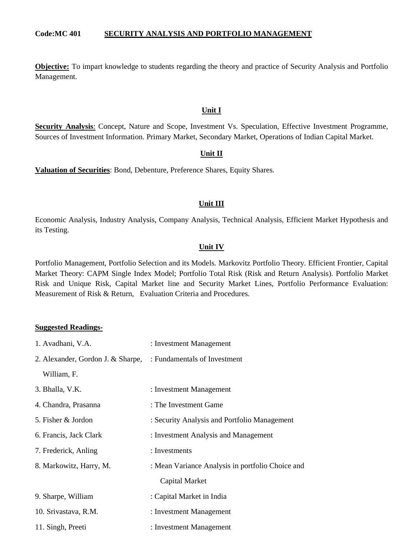#### **Code:MC 401 SECURITY ANALYSIS AND PORTFOLIO MANAGEMENT**

**Objective:** To impart knowledge to students regarding the theory and practice of Security Analysis and Portfolio Management.

#### **Unit I**

**Security Analysis**: Concept, Nature and Scope, Investment Vs. Speculation, Effective Investment Programme, Sources of Investment Information. Primary Market, Secondary Market, Operations of Indian Capital Market.

#### **Unit II**

**Valuation of Securities**: Bond, Debenture, Preference Shares, Equity Shares.

#### **Unit III**

Economic Analysis, Industry Analysis, Company Analysis, Technical Analysis, Efficient Market Hypothesis and its Testing.

#### **Unit IV**

Portfolio Management, Portfolio Selection and its Models. Markovitz Portfolio Theory. Efficient Frontier, Capital Market Theory: CAPM Single Index Model; Portfolio Total Risk (Risk and Return Analysis). Portfolio Market Risk and Unique Risk, Capital Market line and Security Market Lines, Portfolio Performance Evaluation: Measurement of Risk & Return, Evaluation Criteria and Procedures.

| 1. Avadhani, V.A.                                              | : Investment Management                          |
|----------------------------------------------------------------|--------------------------------------------------|
| 2. Alexander, Gordon J. & Sharpe, : Fundamentals of Investment |                                                  |
| William, F.                                                    |                                                  |
| 3. Bhalla, V.K.                                                | : Investment Management                          |
| 4. Chandra, Prasanna                                           | : The Investment Game                            |
| 5. Fisher & Jordon                                             | : Security Analysis and Portfolio Management     |
| 6. Francis, Jack Clark                                         | : Investment Analysis and Management             |
| 7. Frederick, Anling                                           | : Investments                                    |
| 8. Markowitz, Harry, M.                                        | : Mean Variance Analysis in portfolio Choice and |
|                                                                | Capital Market                                   |
| 9. Sharpe, William                                             | : Capital Market in India                        |
| 10. Srivastava, R.M.                                           | : Investment Management                          |
| 11. Singh, Preeti                                              | : Investment Management                          |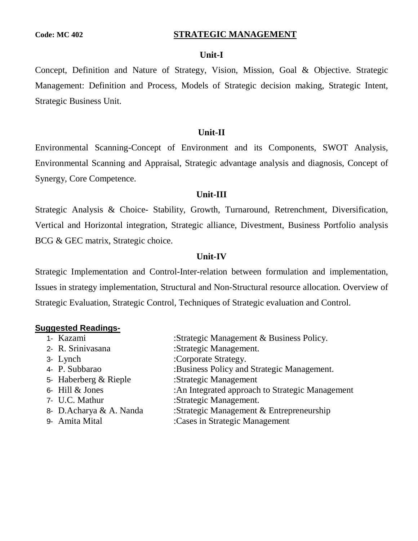#### **Code: MC 402 STRATEGIC MANAGEMENT**

### **Unit-I**

Concept, Definition and Nature of Strategy, Vision, Mission, Goal & Objective. Strategic Management: Definition and Process, Models of Strategic decision making, Strategic Intent, Strategic Business Unit.

#### **Unit-II**

Environmental Scanning-Concept of Environment and its Components, SWOT Analysis, Environmental Scanning and Appraisal, Strategic advantage analysis and diagnosis, Concept of Synergy, Core Competence.

#### **Unit-III**

Strategic Analysis & Choice- Stability, Growth, Turnaround, Retrenchment, Diversification, Vertical and Horizontal integration, Strategic alliance, Divestment, Business Portfolio analysis BCG & GEC matrix, Strategic choice.

#### **Unit-IV**

Strategic Implementation and Control-Inter-relation between formulation and implementation, Issues in strategy implementation, Structural and Non-Structural resource allocation. Overview of Strategic Evaluation, Strategic Control, Techniques of Strategic evaluation and Control.

| 1- Kazami               | :Strategic Management & Business Policy.        |
|-------------------------|-------------------------------------------------|
| 2- R. Srinivasana       | :Strategic Management.                          |
| 3- Lynch                | :Corporate Strategy.                            |
| 4- P. Subbarao          | :Business Policy and Strategic Management.      |
| 5- Haberberg & Rieple   | :Strategic Management                           |
| 6- Hill & Jones         | :An Integrated approach to Strategic Management |
| 7- U.C. Mathur          | :Strategic Management.                          |
| 8- D.Acharya & A. Nanda | :Strategic Management $&$ Entrepreneurship      |
| 9- Amita Mital          | :Cases in Strategic Management                  |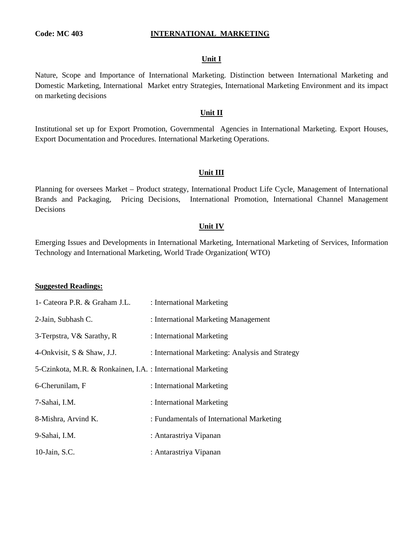#### **Code: MC 403 INTERNATIONAL MARKETING**

#### **Unit I**

Nature, Scope and Importance of International Marketing. Distinction between International Marketing and Domestic Marketing, International Market entry Strategies, International Marketing Environment and its impact on marketing decisions

#### **Unit II**

Institutional set up for Export Promotion, Governmental Agencies in International Marketing. Export Houses, Export Documentation and Procedures. International Marketing Operations.

#### **Unit III**

Planning for oversees Market – Product strategy, International Product Life Cycle, Management of International Brands and Packaging, Pricing Decisions, International Promotion, International Channel Management Decisions

#### **Unit IV**

Emerging Issues and Developments in International Marketing, International Marketing of Services, Information Technology and International Marketing, World Trade Organization( WTO)

| 1- Cateora P.R. & Graham J.L.                                | : International Marketing                        |
|--------------------------------------------------------------|--------------------------------------------------|
| 2-Jain, Subhash C.                                           | : International Marketing Management             |
| 3-Terpstra, V& Sarathy, R                                    | : International Marketing                        |
| 4-Onkvisit, S & Shaw, J.J.                                   | : International Marketing: Analysis and Strategy |
| 5-Czinkota, M.R. & Ronkainen, I.A. : International Marketing |                                                  |
| 6-Cherunilam, F                                              | : International Marketing                        |
| 7-Sahai, I.M.                                                | : International Marketing                        |
| 8-Mishra, Arvind K.                                          | : Fundamentals of International Marketing        |
| 9-Sahai, I.M.                                                | : Antarastriya Vipanan                           |
| 10-Jain, S.C.                                                | : Antarastriya Vipanan                           |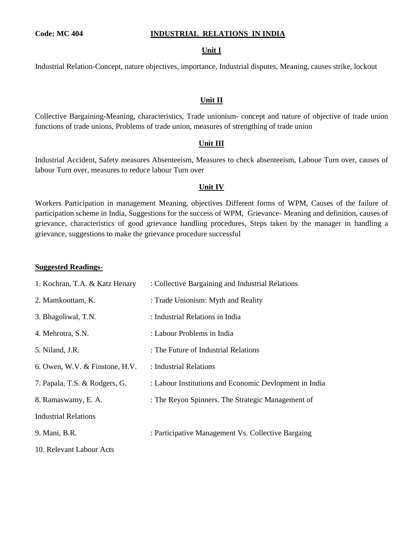#### **Code: MC 404 INDUSTRIAL RELATIONS IN INDIA**

#### **Unit I**

Industrial Relation-Concept, nature objectives, importance, Industrial disputes, Meaning, causes strike, lockout

#### **Unit II**

Collective Bargaining-Meaning, characteristics, Trade unionism- concept and nature of objective of trade union functions of trade unions, Problems of trade union, measures of strengthing of trade union

#### **Unit III**

Industrial Accident, Safety measures Absenteeism, Measures to check absenteeism, Laboue Turn over, causes of labour Turn over, measures to reduce labour Turn over

#### **Unit IV**

Workers Participation in management Meaning, objectives Different forms of WPM, Causes of the failure of participation scheme in India, Suggestions for the success of WPM, Grievance- Meaning and definition, causes of grievance, characteristics of good grievance handling procedures, Steps taken by the manager in handling a grievance, suggestions to make the grievance procedure successful

#### **Suggested Readings-**

| 1. Kochran, T.A. & Katz Henary   | : Collective Bargaining and Industrial Relations       |
|----------------------------------|--------------------------------------------------------|
| 2. Mamkoottam, K.                | : Trade Unionism: Myth and Reality                     |
| 3. Bhagoliwal, T.N.              | : Industrial Relations in India                        |
| 4. Mehrotra, S.N.                | : Labour Problems in India                             |
| 5. Niland, J.R.                  | : The Future of Industrial Relations                   |
| 6. Owen, W.V. $&$ Finstone, H.V. | : Industrial Relations                                 |
| 7. Papala, T.S. & Rodgers, G.    | : Labour Institutions and Economic Devlopment in India |
| 8. Ramaswamy, E. A.              | : The Reyon Spinners. The Strategic Management of      |
| Industrial Relations             |                                                        |
| 9. Mani, B.R.                    | : Participative Management Vs. Collective Bargaing     |
|                                  |                                                        |

10. Relevant Labour Acts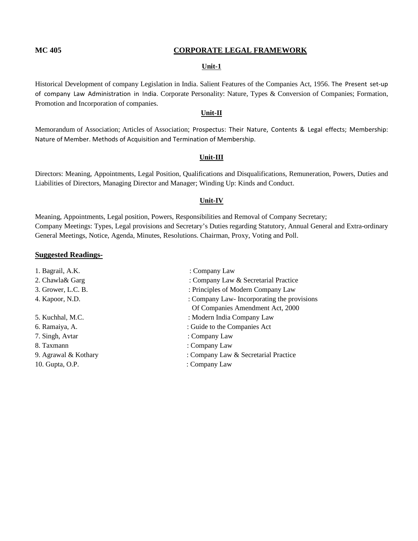#### **MC 405 CORPORATE LEGAL FRAMEWORK**

#### **Unit-1**

Historical Development of company Legislation in India. Salient Features of the Companies Act, 1956. The Present set-up of company Law Administration in India. Corporate Personality: Nature, Types & Conversion of Companies; Formation, Promotion and Incorporation of companies.

#### **Unit-II**

Memorandum of Association; Articles of Association; Prospectus: Their Nature, Contents & Legal effects; Membership: Nature of Member. Methods of Acquisition and Termination of Membership.

#### **Unit-III**

Directors: Meaning, Appointments, Legal Position, Qualifications and Disqualifications, Remuneration, Powers, Duties and Liabilities of Directors, Managing Director and Manager; Winding Up: Kinds and Conduct.

#### **Unit-IV**

Meaning, Appointments, Legal position, Powers, Responsibilities and Removal of Company Secretary; Company Meetings: Types, Legal provisions and Secretary's Duties regarding Statutory, Annual General and Extra-ordinary General Meetings, Notice, Agenda, Minutes, Resolutions. Chairman, Proxy, Voting and Poll.

| 1. Bagrail, A.K.     | : Company Law                              |
|----------------------|--------------------------------------------|
| 2. Chawla& Garg      | : Company Law & Secretarial Practice       |
| 3. Grower, L.C. B.   | : Principles of Modern Company Law         |
| 4. Kapoor, N.D.      | : Company Law-Incorporating the provisions |
|                      | Of Companies Amendment Act, 2000           |
| 5. Kuchhal, M.C.     | : Modern India Company Law                 |
| 6. Ramaiya, A.       | : Guide to the Companies Act               |
| 7. Singh, Avtar      | : Company Law                              |
| 8. Taxmann           | : Company Law                              |
| 9. Agrawal & Kothary | : Company Law & Secretarial Practice       |
| 10. Gupta, O.P.      | : Company Law                              |
|                      |                                            |